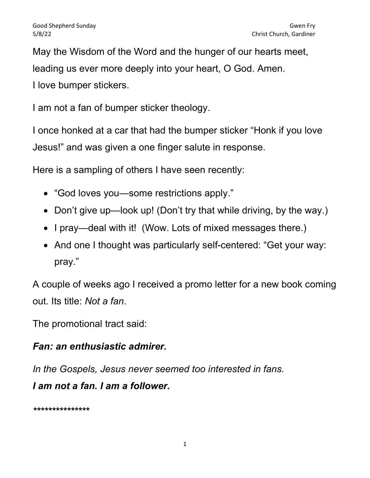May the Wisdom of the Word and the hunger of our hearts meet, leading us ever more deeply into your heart, O God. Amen. I love bumper stickers.

I am not a fan of bumper sticker theology.

I once honked at a car that had the bumper sticker "Honk if you love Jesus!" and was given a one finger salute in response.

Here is a sampling of others I have seen recently:

- "God loves you—some restrictions apply."
- Don't give up—look up! (Don't try that while driving, by the way.)
- I pray—deal with it! (Wow. Lots of mixed messages there.)
- And one I thought was particularly self-centered: "Get your way: pray."

A couple of weeks ago I received a promo letter for a new book coming out. Its title: Not a fan.

The promotional tract said:

## Fan: an enthusiastic admirer.

In the Gospels, Jesus never seemed too interested in fans. I am not a fan. I am a follower.

\*\*\*\*\*\*\*\*\*\*\*\*\*\*\*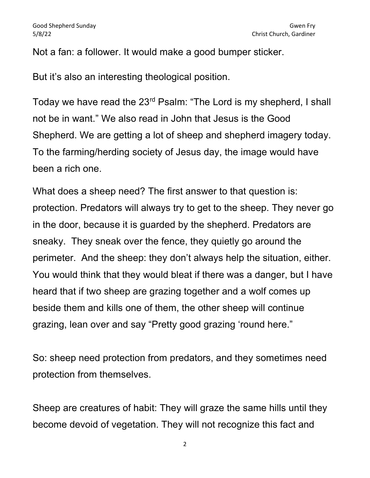Not a fan: a follower. It would make a good bumper sticker.

But it's also an interesting theological position.

Today we have read the 23rd Psalm: "The Lord is my shepherd, I shall not be in want." We also read in John that Jesus is the Good Shepherd. We are getting a lot of sheep and shepherd imagery today. To the farming/herding society of Jesus day, the image would have been a rich one.

What does a sheep need? The first answer to that question is: protection. Predators will always try to get to the sheep. They never go in the door, because it is guarded by the shepherd. Predators are sneaky. They sneak over the fence, they quietly go around the perimeter. And the sheep: they don't always help the situation, either. You would think that they would bleat if there was a danger, but I have heard that if two sheep are grazing together and a wolf comes up beside them and kills one of them, the other sheep will continue grazing, lean over and say "Pretty good grazing 'round here."

So: sheep need protection from predators, and they sometimes need protection from themselves.

Sheep are creatures of habit: They will graze the same hills until they become devoid of vegetation. They will not recognize this fact and

2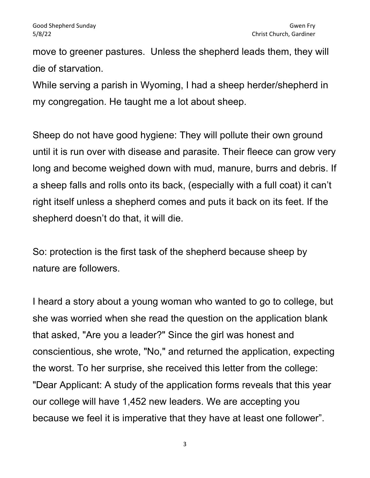move to greener pastures. Unless the shepherd leads them, they will die of starvation.

While serving a parish in Wyoming, I had a sheep herder/shepherd in my congregation. He taught me a lot about sheep.

Sheep do not have good hygiene: They will pollute their own ground until it is run over with disease and parasite. Their fleece can grow very long and become weighed down with mud, manure, burrs and debris. If a sheep falls and rolls onto its back, (especially with a full coat) it can't right itself unless a shepherd comes and puts it back on its feet. If the shepherd doesn't do that, it will die.

So: protection is the first task of the shepherd because sheep by nature are followers.

I heard a story about a young woman who wanted to go to college, but she was worried when she read the question on the application blank that asked, "Are you a leader?" Since the girl was honest and conscientious, she wrote, "No," and returned the application, expecting the worst. To her surprise, she received this letter from the college: "Dear Applicant: A study of the application forms reveals that this year our college will have 1,452 new leaders. We are accepting you because we feel it is imperative that they have at least one follower".

3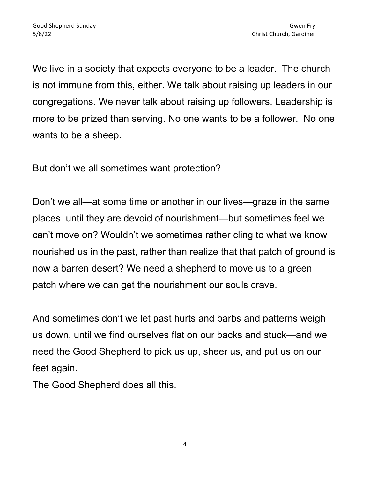We live in a society that expects everyone to be a leader. The church is not immune from this, either. We talk about raising up leaders in our congregations. We never talk about raising up followers. Leadership is more to be prized than serving. No one wants to be a follower. No one wants to be a sheep.

But don't we all sometimes want protection?

Don't we all—at some time or another in our lives—graze in the same places until they are devoid of nourishment—but sometimes feel we can't move on? Wouldn't we sometimes rather cling to what we know nourished us in the past, rather than realize that that patch of ground is now a barren desert? We need a shepherd to move us to a green patch where we can get the nourishment our souls crave.

And sometimes don't we let past hurts and barbs and patterns weigh us down, until we find ourselves flat on our backs and stuck—and we need the Good Shepherd to pick us up, sheer us, and put us on our feet again.

The Good Shepherd does all this.